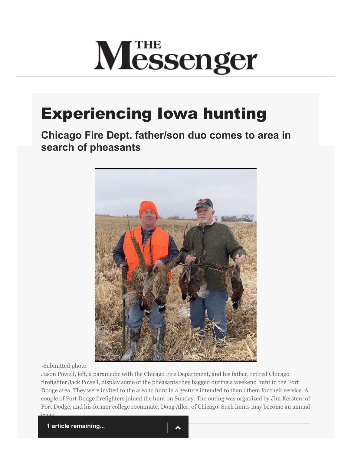## **M**<sub>essenger</sub>

## Experiencing Iowa hunting

**Chicago Fire Dept. father/son duo comes to area in search of pheasants**



-Submitted photo

event.

Jason Powell, left, a paramedic with the Chicago Fire Department, and his father, retired Chicago firefighter Jack Powell, display some of the pheasants they bagged during a weekend hunt in the Fort Dodge area. They were invited to the area to hunt in a gesture intended to thank them for their service. A couple of Fort Dodge firefighters joined the hunt on Sunday. The outing was organized by Jim Kersten, of Fort Dodge, and his former college roommate, Doug Aller, of Chicago. Such hunts may become an annual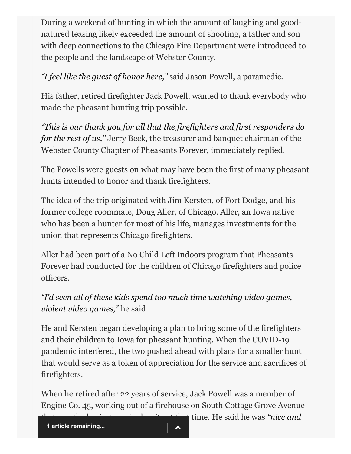During a weekend of hunting in which the amount of laughing and goodnatured teasing likely exceeded the amount of shooting, a father and son with deep connections to the Chicago Fire Department were introduced to the people and the landscape of Webster County.

*"I feel like the guest of honor here,"* said Jason Powell, a paramedic.

His father, retired firefighter Jack Powell, wanted to thank everybody who made the pheasant hunting trip possible.

*"This is our thank you for all that the firefighters and first responders do for the rest of us,"* Jerry Beck, the treasurer and banquet chairman of the Webster County Chapter of Pheasants Forever, immediately replied.

The Powells were guests on what may have been the first of many pheasant hunts intended to honor and thank firefighters.

The idea of the trip originated with Jim Kersten, of Fort Dodge, and his former college roommate, Doug Aller, of Chicago. Aller, an Iowa native who has been a hunter for most of his life, manages investments for the union that represents Chicago firefighters.

Aller had been part of a No Child Left Indoors program that Pheasants Forever had conducted for the children of Chicago firefighters and police officers.

*"I'd seen all of these kids spend too much time watching video games, violent video games,"* he said.

He and Kersten began developing a plan to bring some of the firefighters and their children to Iowa for pheasant hunting. When the COVID-19 pandemic interfered, the two pushed ahead with plans for a smaller hunt that would serve as a token of appreciation for the service and sacrifices of firefighters.

When he retired after 22 years of service, Jack Powell was a member of Engine Co. 45, working out of a firehouse on South Cottage Grove Avenue

that time. He said he was *"nice and*"

**1 article remaining...**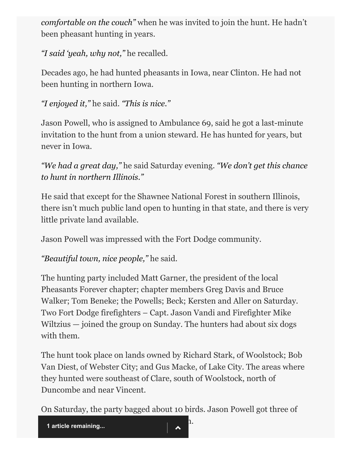*comfortable on the couch"* when he was invited to join the hunt. He hadn't been pheasant hunting in years.

*"I said 'yeah, why not,"* he recalled.

Decades ago, he had hunted pheasants in Iowa, near Clinton. He had not been hunting in northern Iowa.

*"I enjoyed it,"* he said. *"This is nice."*

Jason Powell, who is assigned to Ambulance 69, said he got a last-minute invitation to the hunt from a union steward. He has hunted for years, but never in Iowa.

*"We had a great day,"* he said Saturday evening. *"We don't get this chance to hunt in northern Illinois."*

He said that except for the Shawnee National Forest in southern Illinois, there isn't much public land open to hunting in that state, and there is very little private land available.

Jason Powell was impressed with the Fort Dodge community.

*"Beautiful town, nice people,"* he said.

The hunting party included Matt Garner, the president of the local Pheasants Forever chapter; chapter members Greg Davis and Bruce Walker; Tom Beneke; the Powells; Beck; Kersten and Aller on Saturday. Two Fort Dodge firefighters – Capt. Jason Vandi and Firefighter Mike Wiltzius — joined the group on Sunday. The hunters had about six dogs with them.

The hunt took place on lands owned by Richard Stark, of Woolstock; Bob Van Diest, of Webster City; and Gus Macke, of Lake City. The areas where they hunted were southeast of Clare, south of Woolstock, north of Duncombe and near Vincent.

On Saturday, the party bagged about 10 birds. Jason Powell got three of

1 article remaining...